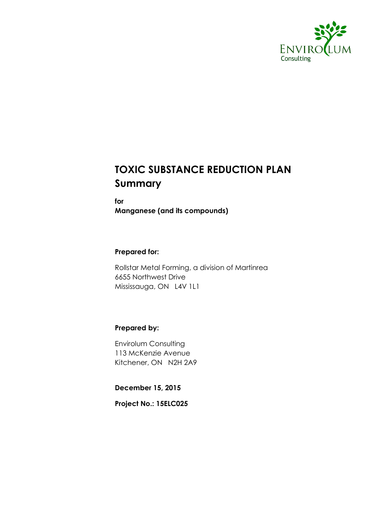

## **TOXIC SUBSTANCE REDUCTION PLAN Summary**

**for Manganese (and its compounds)**

#### **Prepared for:**

Rollstar Metal Forming, a division of Martinrea 6655 Northwest Drive Mississauga, ON L4V 1L1

#### **Prepared by:**

Envirolum Consulting 113 McKenzie Avenue Kitchener, ON N2H 2A9

**December 15, 2015**

**Project No.: 15ELC025**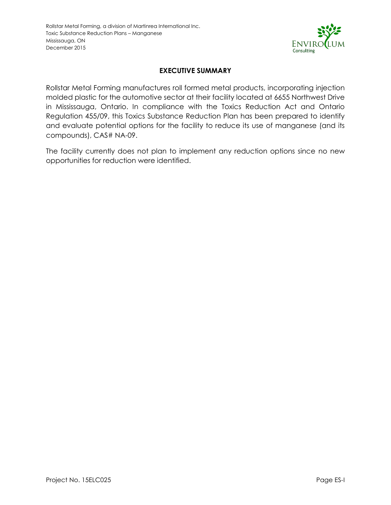

#### **EXECUTIVE SUMMARY**

<span id="page-1-0"></span>Rollstar Metal Forming manufactures roll formed metal products, incorporating injection molded plastic for the automotive sector at their facility located at 6655 Northwest Drive in Mississauga, Ontario. In compliance with the Toxics Reduction Act and Ontario Regulation 455/09, this Toxics Substance Reduction Plan has been prepared to identify and evaluate potential options for the facility to reduce its use of manganese (and its compounds), CAS# NA-09.

The facility currently does not plan to implement any reduction options since no new opportunities for reduction were identified.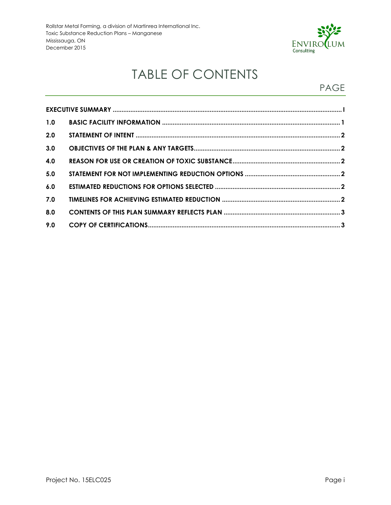

# TABLE OF CONTENTS

### PAGE

| 1.0 |  |
|-----|--|
| 2.0 |  |
| 3.0 |  |
| 4.0 |  |
| 5.0 |  |
| 6.0 |  |
| 7.0 |  |
| 8.0 |  |
| 9.0 |  |
|     |  |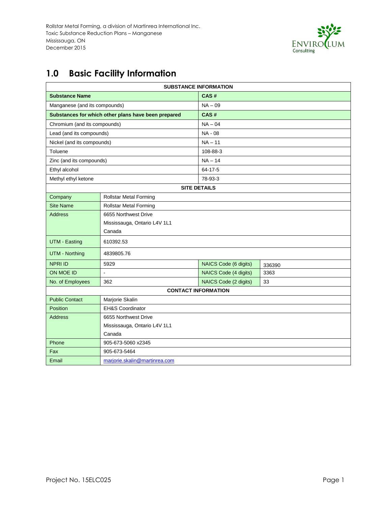

# <span id="page-3-0"></span>**1.0 Basic Facility Information**

| <b>SUBSTANCE INFORMATION</b>                      |                                                     |                       |        |  |  |  |
|---------------------------------------------------|-----------------------------------------------------|-----------------------|--------|--|--|--|
| <b>Substance Name</b>                             |                                                     | CAS#                  |        |  |  |  |
| Manganese (and its compounds)                     |                                                     | $NA - 09$             |        |  |  |  |
|                                                   | Substances for which other plans have been prepared | CAS#                  |        |  |  |  |
| Chromium (and its compounds)                      |                                                     | $NA - 04$             |        |  |  |  |
| Lead (and its compounds)                          |                                                     | NA - 08               |        |  |  |  |
| Nickel (and its compounds)                        |                                                     | $NA - 11$             |        |  |  |  |
| Toluene                                           |                                                     | 108-88-3              |        |  |  |  |
| Zinc (and its compounds)                          |                                                     | $NA - 14$             |        |  |  |  |
| Ethyl alcohol                                     |                                                     | 64-17-5               |        |  |  |  |
| Methyl ethyl ketone                               |                                                     | 78-93-3               |        |  |  |  |
| <b>SITE DETAILS</b>                               |                                                     |                       |        |  |  |  |
| Company                                           | <b>Rollstar Metal Forming</b>                       |                       |        |  |  |  |
| <b>Site Name</b><br><b>Rollstar Metal Forming</b> |                                                     |                       |        |  |  |  |
| <b>Address</b>                                    | 6655 Northwest Drive                                |                       |        |  |  |  |
|                                                   | Mississauga, Ontario L4V 1L1                        |                       |        |  |  |  |
|                                                   | Canada                                              |                       |        |  |  |  |
| <b>UTM - Easting</b><br>610392.53                 |                                                     |                       |        |  |  |  |
| <b>UTM - Northing</b>                             | 4839805.76                                          |                       |        |  |  |  |
| <b>NPRI ID</b>                                    | 5929                                                | NAICS Code (6 digits) | 336390 |  |  |  |
| ON MOE ID                                         | $\ddot{\phantom{a}}$                                | NAICS Code (4 digits) | 3363   |  |  |  |
| No. of Employees                                  | 362                                                 | NAICS Code (2 digits) | 33     |  |  |  |
| <b>CONTACT INFORMATION</b>                        |                                                     |                       |        |  |  |  |
| <b>Public Contact</b><br>Marjorie Skalin          |                                                     |                       |        |  |  |  |
| Position                                          | <b>EH&amp;S Coordinator</b>                         |                       |        |  |  |  |
| <b>Address</b>                                    |                                                     |                       |        |  |  |  |
|                                                   | Mississauga, Ontario L4V 1L1                        |                       |        |  |  |  |
|                                                   | Canada                                              |                       |        |  |  |  |
| Phone                                             | 905-673-5060 x2345                                  |                       |        |  |  |  |
| 905-673-5464<br>Fax                               |                                                     |                       |        |  |  |  |
| Email                                             | marjorie.skalin@martinrea.com                       |                       |        |  |  |  |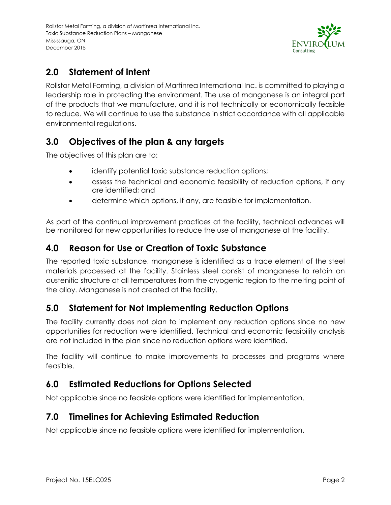

### <span id="page-4-0"></span>**2.0 Statement of intent**

<span id="page-4-1"></span>Rollstar Metal Forming, a division of Martinrea International Inc. is committed to playing a leadership role in protecting the environment. The use of manganese is an integral part of the products that we manufacture, and it is not technically or economically feasible to reduce. We will continue to use the substance in strict accordance with all applicable environmental regulations.

#### **3.0 Objectives of the plan & any targets**

<span id="page-4-2"></span>The objectives of this plan are to:

- identify potential toxic substance reduction options;
- assess the technical and economic feasibility of reduction options, if any are identified; and
- determine which options, if any, are feasible for implementation.

As part of the continual improvement practices at the facility, technical advances will be monitored for new opportunities to reduce the use of manganese at the facility.

#### **4.0 Reason for Use or Creation of Toxic Substance**

The reported toxic substance, manganese is identified as a trace element of the steel materials processed at the facility. Stainless steel consist of manganese to retain an austenitic structure at all temperatures from the cryogenic region to the melting point of the alloy. Manganese is not created at the facility.

#### <span id="page-4-3"></span>**5.0 Statement for Not Implementing Reduction Options**

<span id="page-4-4"></span>The facility currently does not plan to implement any reduction options since no new opportunities for reduction were identified. Technical and economic feasibility analysis are not included in the plan since no reduction options were identified.

The facility will continue to make improvements to processes and programs where feasible.

#### **6.0 Estimated Reductions for Options Selected**

Not applicable since no feasible options were identified for implementation.

#### <span id="page-4-5"></span>**7.0 Timelines for Achieving Estimated Reduction**

Not applicable since no feasible options were identified for implementation.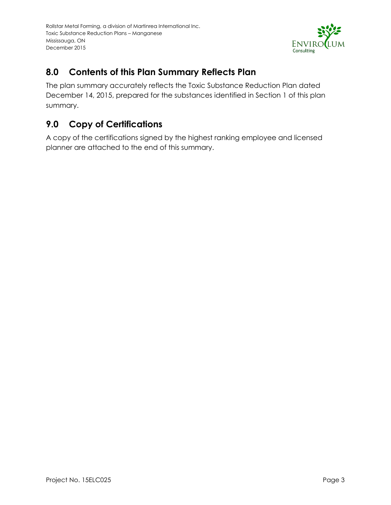

### <span id="page-5-0"></span>**8.0 Contents of this Plan Summary Reflects Plan**

The plan summary accurately reflects the Toxic Substance Reduction Plan dated December 14, 2015, prepared for the substances identified in Section 1 of this plan summary.

### <span id="page-5-1"></span>**9.0 Copy of Certifications**

A copy of the certifications signed by the highest ranking employee and licensed planner are attached to the end of this summary.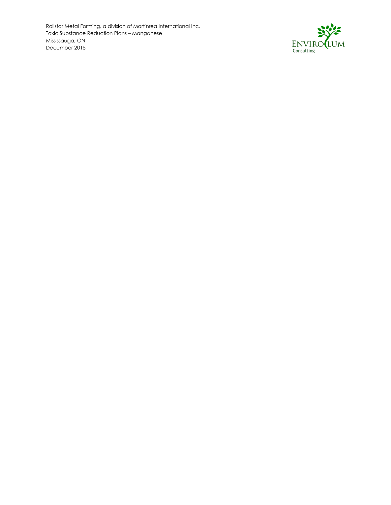Rollstar Metal Forming, a division of Martinrea International Inc. Toxic Substance Reduction Plans – Manganese Mississauga, ON December 2015